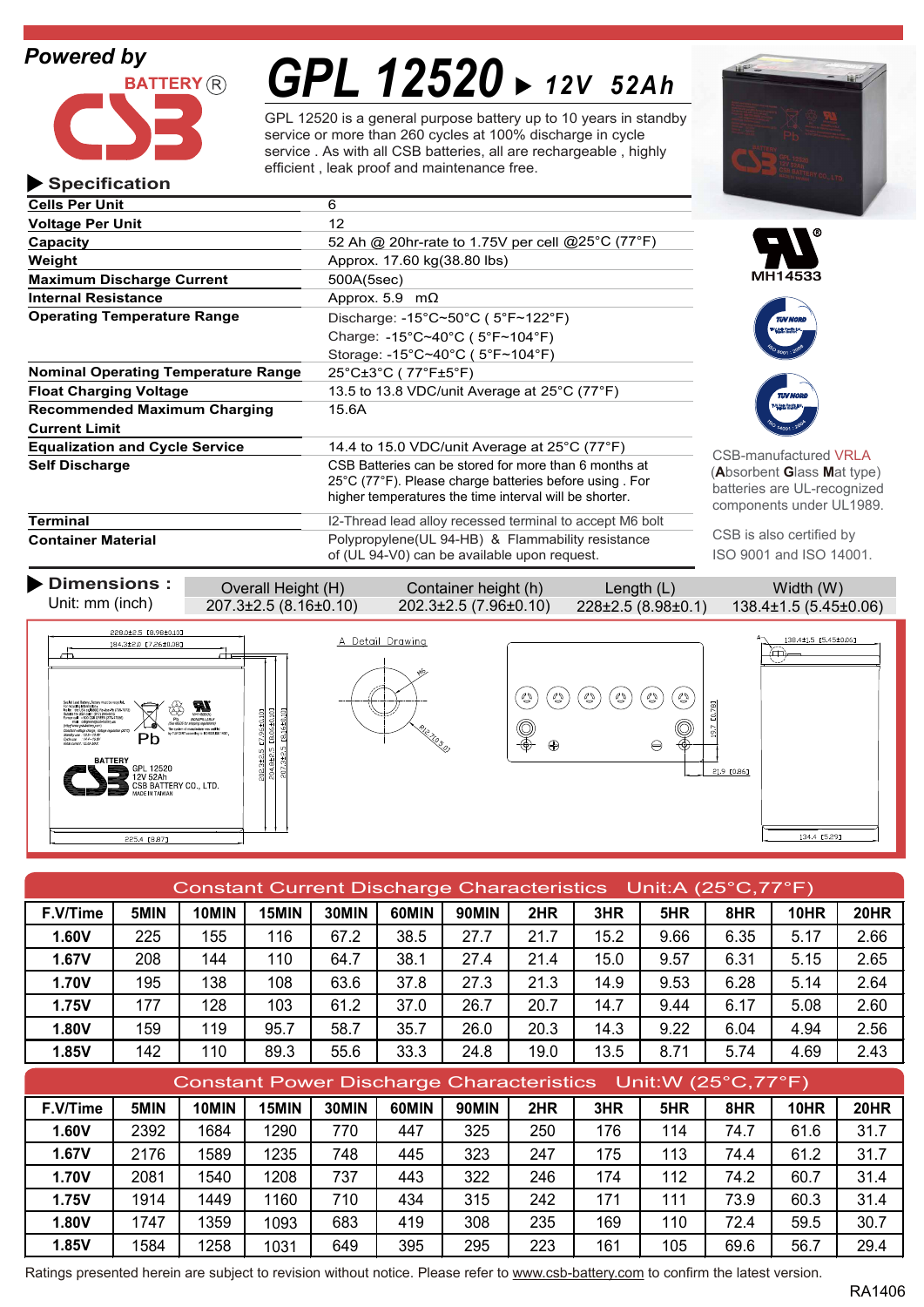### *Powered by*

**Specification**



# *GPL 12520 12V 52Ah*

GPL 12520 is a general purpose battery up to 10 years in standby service or more than 260 cycles at 100% discharge in cycle service . As with all CSB batteries, all are rechargeable , highly efficient , leak proof and maintenance free.

| <b>Cells Per Unit</b>                      | 6                                                                                                                                                                                             |
|--------------------------------------------|-----------------------------------------------------------------------------------------------------------------------------------------------------------------------------------------------|
| <b>Voltage Per Unit</b>                    | 12                                                                                                                                                                                            |
| Capacity                                   | 52 Ah @ 20hr-rate to 1.75V per cell @25°C (77°F)                                                                                                                                              |
| Weight                                     | Approx. 17.60 kg(38.80 lbs)                                                                                                                                                                   |
| <b>Maximum Discharge Current</b>           | 500A(5sec)                                                                                                                                                                                    |
| <b>Internal Resistance</b>                 | Approx. 5.9 $m\Omega$                                                                                                                                                                         |
| <b>Operating Temperature Range</b>         | Discharge: $-15^{\circ}$ C~50 $^{\circ}$ C (5 $^{\circ}$ F~122 $^{\circ}$ F)                                                                                                                  |
|                                            | Charge: $-15^{\circ}$ C $\sim$ 40 $^{\circ}$ C (5 $^{\circ}$ F $\sim$ 104 $^{\circ}$ F)                                                                                                       |
|                                            | Storage: -15°C~40°C (5°F~104°F)                                                                                                                                                               |
| <b>Nominal Operating Temperature Range</b> | $25^{\circ}$ C $\pm 3^{\circ}$ C (77 $^{\circ}$ F $\pm 5^{\circ}$ F)                                                                                                                          |
| <b>Float Charging Voltage</b>              | 13.5 to 13.8 VDC/unit Average at 25°C (77°F)                                                                                                                                                  |
| <b>Recommended Maximum Charging</b>        | 15.6A                                                                                                                                                                                         |
| <b>Current Limit</b>                       |                                                                                                                                                                                               |
| <b>Equalization and Cycle Service</b>      | 14.4 to 15.0 VDC/unit Average at $25^{\circ}$ C (77 $^{\circ}$ F)                                                                                                                             |
| <b>Self Discharge</b>                      | CSB Batteries can be stored for more than 6 months at<br>$25^{\circ}$ C (77 $^{\circ}$ F). Please charge batteries before using For<br>higher temperatures the time interval will be shorter. |
| Terminal                                   | I2-Thread lead alloy recessed terminal to accept M6 bolt                                                                                                                                      |
|                                            |                                                                                                                                                                                               |

**Container Material**



of (UL 94-V0) can be available upon request.

manufactured VRLA  $\mathsf{h}$ rbent **G**lass Mat type) ries are UL-recognized onents under UL1989.

TUV Asia Pacific Ltd. Taiwan Branch

TUV Asia Pacific Ltd. Taiwan Branch

CSB is also certified by ISO 9001 and ISO 14001.



| Constant Current Discharge Characteristics Unit:A (25°C,77°F) |      |       |       |       |       |       |      |      |      |      |      |             |
|---------------------------------------------------------------|------|-------|-------|-------|-------|-------|------|------|------|------|------|-------------|
| F.V/Time                                                      | 5MIN | 10MIN | 15MIN | 30MIN | 60MIN | 90MIN | 2HR  | 3HR  | 5HR  | 8HR  | 10HR | <b>20HR</b> |
| 1.60V                                                         | 225  | 155   | 116   | 67.2  | 38.5  | 27.7  | 21.7 | 15.2 | 9.66 | 6.35 | 5.17 | 2.66        |
| 1.67V                                                         | 208  | 144   | 110   | 64.7  | 38.1  | 27.4  | 21.4 | 15.0 | 9.57 | 6.31 | 5.15 | 2.65        |
| <b>1.70V</b>                                                  | 195  | 138   | 108   | 63.6  | 37.8  | 27.3  | 21.3 | 14.9 | 9.53 | 6.28 | 5.14 | 2.64        |
| 1.75V                                                         | 177  | 128   | 103   | 61.2  | 37.0  | 26.7  | 20.7 | 14.7 | 9.44 | 6.17 | 5.08 | 2.60        |
| 1.80V                                                         | 159  | 119   | 95.7  | 58.7  | 35.7  | 26.0  | 20.3 | 14.3 | 9.22 | 6.04 | 4.94 | 2.56        |
| 1.85V                                                         | 142  | 110   | 89.3  | 55.6  | 33.3  | 24.8  | 19.0 | 13.5 | 8.71 | 5.74 | 4.69 | 2.43        |

| Constant Power Discharge Characteristics Unit:W (25°C,77°F) |      |       |       |       |       |       |     |     |     |      |      |             |
|-------------------------------------------------------------|------|-------|-------|-------|-------|-------|-----|-----|-----|------|------|-------------|
| F.V/Time                                                    | 5MIN | 10MIN | 15MIN | 30MIN | 60MIN | 90MIN | 2HR | 3HR | 5HR | 8HR  | 10HR | <b>20HR</b> |
| 1.60V                                                       | 2392 | 1684  | 1290  | 770   | 447   | 325   | 250 | 176 | 114 | 74.7 | 61.6 | 31.7        |
| 1.67V                                                       | 2176 | 1589  | 1235  | 748   | 445   | 323   | 247 | 175 | 113 | 74.4 | 61.2 | 31.7        |
| <b>1.70V</b>                                                | 2081 | 1540  | 1208  | 737   | 443   | 322   | 246 | 174 | 112 | 74.2 | 60.7 | 31.4        |
| 1.75V                                                       | 1914 | 1449  | 160   | 710   | 434   | 315   | 242 | 171 | 111 | 73.9 | 60.3 | 31.4        |
| 1.80V                                                       | 1747 | 1359  | 1093  | 683   | 419   | 308   | 235 | 169 | 110 | 72.4 | 59.5 | 30.7        |
| 1.85V                                                       | 1584 | 1258  | 1031  | 649   | 395   | 295   | 223 | 161 | 105 | 69.6 | 56.7 | 29.4        |

Ratings presented herein are subject to revision without notice. Please refer to www.csb-battery.com to confirm the latest version.